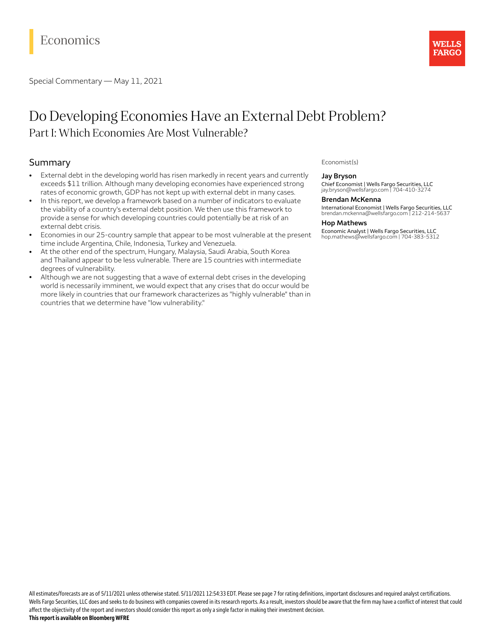# Economics

Special Commentary — May 11, 2021

## Do Developing Economies Have an External Debt Problem? Part I: Which Economies Are Most Vulnerable?

## Summary

- External debt in the developing world has risen markedly in recent years and currently exceeds \$11 trillion. Although many developing economies have experienced strong rates of economic growth, GDP has not kept up with external debt in many cases.
- In this report, we develop a framework based on a number of indicators to evaluate the viability of a country's external debt position. We then use this framework to provide a sense for which developing countries could potentially be at risk of an external debt crisis.
- Economies in our 25-country sample that appear to be most vulnerable at the present time include Argentina, Chile, Indonesia, Turkey and Venezuela.
- At the other end of the spectrum, Hungary, Malaysia, Saudi Arabia, South Korea and Thailand appear to be less vulnerable. There are 15 countries with intermediate degrees of vulnerability.
- Although we are not suggesting that a wave of external debt crises in the developing world is necessarily imminent, we would expect that any crises that do occur would be more likely in countries that our framework characterizes as "highly vulnerable" than in countries that we determine have "low vulnerability."

## Economist(s)

### **Jay Bryson**

Chief Economist | Wells Fargo Securities, LLC jay.bryson@wellsfargo.com | 704-410-3274

### **Brendan McKenna**

International Economist | Wells Fargo Securities, LLC brendan.mckenna@wellsfargo.com | 212-214-5637

WELLS **FARGO** 

#### **Hop Mathews**

Economic Analyst | Wells Fargo Securities, LLC hop.mathews@wellsfargo.com | 704-383-5312

All estimates/forecasts are as of 5/11/2021 unless otherwise stated. 5/11/2021 12:54:33 EDT. Please see page 7 for rating definitions, important disclosures and required analyst certifications. Wells Fargo Securities, LLC does and seeks to do business with companies covered in its research reports. As a result, investors should be aware that the firm may have a conflict of interest that could affect the objectivity of the report and investors should consider this report as only a single factor in making their investment decision. **Thisreportis available on Bloomberg WFRE**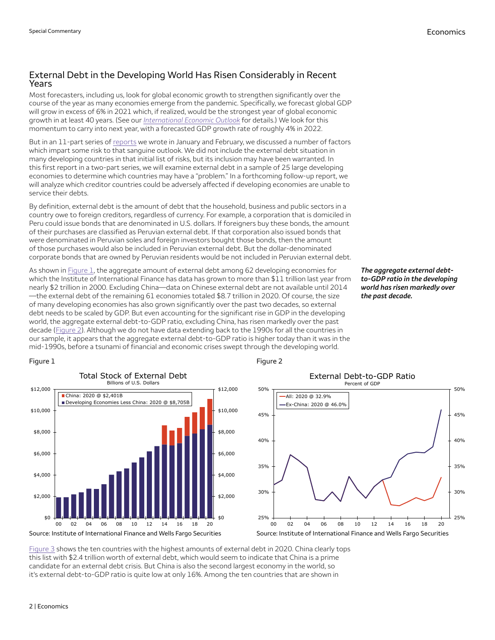## External Debt in the Developing World Has Risen Considerably in Recent Years

Most forecasters, including us, look for global economic growth to strengthen significantly over the course of the year as many economies emerge from the pandemic. Specifically, we forecast global GDP will grow in excess of 6% in 2021 which, if realized, would be the strongest year of global economic growth in at least 40 years. (See our *[International](https://wellsfargo.bluematrix.com/links2/link/html/639d9ea3-e896-4c6a-b1e9-633d7625fde2/654013ff-ab83-430b-b2f9-1821b8ee8fbb) Economic Outlook* for details.) We look for this momentum to carry into next year, with a forecasted GDP growth rate of roughly 4% in 2022.

But in an 11-part series of [reports](https://wellsfargo.bluematrix.com/links2/link/html/639d9ea3-e896-4c6a-b1e9-633d7625fde2/dfbc571e-be68-4e1d-aceb-b94fde14d320) we wrote in January and February, we discussed a number of factors which impart some risk to that sanguine outlook. We did not include the external debt situation in many developing countries in that initial list of risks, but its inclusion may have been warranted. In this first report in a two-part series, we will examine external debt in a sample of 25 large developing economies to determine which countries may have a "problem." In a forthcoming follow-up report, we will analyze which creditor countries could be adversely affected if developing economies are unable to service their debts.

By definition, external debt is the amount of debt that the household, business and public sectors in a country owe to foreign creditors, regardless of currency. For example, a corporation that is domiciled in Peru could issue bonds that are denominated in U.S. dollars. If foreigners buy these bonds, the amount of their purchases are classified as Peruvian external debt. If that corporation also issued bonds that were denominated in Peruvian soles and foreign investors bought those bonds, then the amount of those purchases would also be included in Peruvian external debt. But the dollar-denominated corporate bonds that are owned by Peruvian residents would be not included in Peruvian external debt.

As shown in [Figure](#page-1-0) 1, the aggregate amount of external debt among 62 developing economies for which the Institute of International Finance has data has grown to more than \$11 trillion last year from nearly \$2 trillion in 2000. Excluding China—data on Chinese external debt are not available until 2014 —the external debt of the remaining 61 economies totaled \$8.7 trillion in 2020. Of course, the size of many developing economies has also grown significantly over the past two decades, so external debt needs to be scaled by GDP. But even accounting for the significant rise in GDP in the developing world, the aggregate external debt-to-GDP ratio, excluding China, has risen markedly over the past decade ([Figure](#page-1-1) 2). Although we do not have data extending back to the 1990s for all the countries in our sample, it appears that the aggregate external debt-to-GDP ratio is higher today than it was in the mid-1990s, before a tsunami of financial and economic crises swept through the developing world.

*The aggregate external debtto-GDP ratio in the developing world has risen markedly over the past decade.*

## <span id="page-1-0"></span>Figure 1



## <span id="page-1-1"></span>Figure 2



[Figure](#page-2-0) 3 shows the ten countries with the highest amounts of external debt in 2020. China clearly tops this list with \$2.4 trillion worth of external debt, which would seem to indicate that China is a prime candidate for an external debt crisis. But China is also the second largest economy in the world, so it's external debt-to-GDP ratio is quite low at only 16%. Among the ten countries that are shown in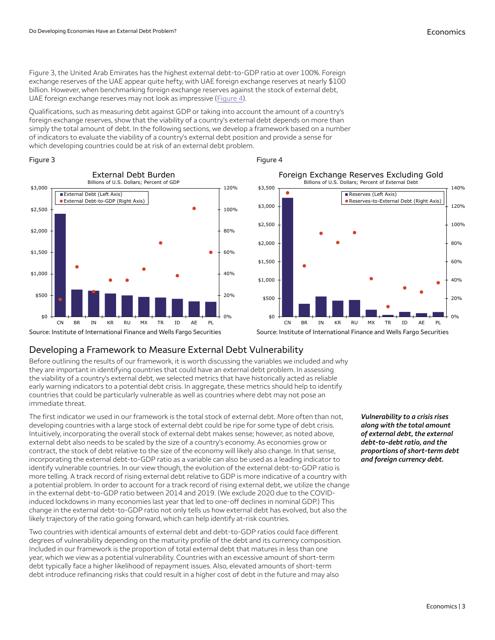Figure 3, the United Arab Emirates has the highest external debt-to-GDP ratio at over 100%. Foreign exchange reserves of the UAE appear quite hefty, with UAE foreign exchange reserves at nearly \$100 billion. However, when benchmarking foreign exchange reserves against the stock of external debt, UAE foreign exchange reserves may not look as impressive ([Figure](#page-2-1) 4).

Qualifications, such as measuring debt against GDP or taking into account the amount of a country's foreign exchange reserves, show that the viability of a country's external debt depends on more than simply the total amount of debt. In the following sections, we develop a framework based on a number of indicators to evaluate the viability of a country's external debt position and provide a sense for which developing countries could be at risk of an external debt problem.

## <span id="page-2-0"></span>Figure 3





## <span id="page-2-1"></span>Figure 4

Source: Institute of International Finance and Wells Fargo Securities

# Developing a Framework to Measure External Debt Vulnerability

Before outlining the results of our framework, it is worth discussing the variables we included and why they are important in identifying countries that could have an external debt problem. In assessing the viability of a country's external debt, we selected metrics that have historically acted as reliable early warning indicators to a potential debt crisis. In aggregate, these metrics should help to identify countries that could be particularly vulnerable as well as countries where debt may not pose an immediate threat.

The first indicator we used in our framework is the total stock of external debt. More often than not, developing countries with a large stock of external debt could be ripe for some type of debt crisis. Intuitively, incorporating the overall stock of external debt makes sense; however, as noted above, external debt also needs to be scaled by the size of a country's economy. As economies grow or contract, the stock of debt relative to the size of the economy will likely also change. In that sense, incorporating the external debt-to-GDP ratio as a variable can also be used as a leading indicator to identify vulnerable countries. In our view though, the evolution of the external debt-to-GDP ratio is more telling. A track record of rising external debt relative to GDP is more indicative of a country with a potential problem. In order to account for a track record of rising external debt, we utilize the change in the external debt-to-GDP ratio between 2014 and 2019. (We exclude 2020 due to the COVIDinduced lockdowns in many economies last year that led to one-off declines in nominal GDP.) This change in the external debt-to-GDP ratio not only tells us how external debt has evolved, but also the likely trajectory of the ratio going forward, which can help identify at-risk countries.

Two countries with identical amounts of external debt and debt-to-GDP ratios could face different degrees of vulnerability depending on the maturity profile of the debt and its currency composition. Included in our framework is the proportion of total external debt that matures in less than one year, which we view as a potential vulnerability. Countries with an excessive amount of short-term debt typically face a higher likelihood of repayment issues. Also, elevated amounts of short-term debt introduce refinancing risks that could result in a higher cost of debt in the future and may also

*Vulnerability to a crisis rises along with the total amount of external debt, the external debt-to-debt ratio, and the proportions of short-term debt and foreign currency debt.*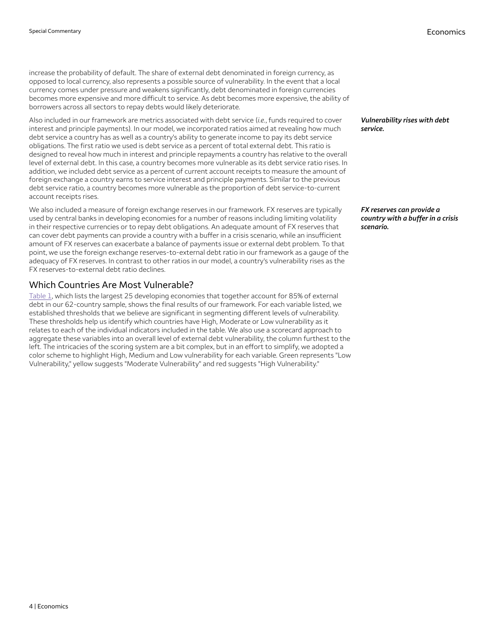increase the probability of default. The share of external debt denominated in foreign currency, as opposed to local currency, also represents a possible source of vulnerability. In the event that a local currency comes under pressure and weakens significantly, debt denominated in foreign currencies becomes more expensive and more difficult to service. As debt becomes more expensive, the ability of borrowers across all sectors to repay debts would likely deteriorate.

Also included in our framework are metrics associated with debt service (*i.e.*, funds required to cover interest and principle payments). In our model, we incorporated ratios aimed at revealing how much debt service a country has as well as a country's ability to generate income to pay its debt service obligations. The first ratio we used is debt service as a percent of total external debt. This ratio is designed to reveal how much in interest and principle repayments a country has relative to the overall level of external debt. In this case, a country becomes more vulnerable as its debt service ratio rises. In addition, we included debt service as a percent of current account receipts to measure the amount of foreign exchange a country earns to service interest and principle payments. Similar to the previous debt service ratio, a country becomes more vulnerable as the proportion of debt service-to-current account receipts rises.

We also included a measure of foreign exchange reserves in our framework. FX reserves are typically used by central banks in developing economies for a number of reasons including limiting volatility in their respective currencies or to repay debt obligations. An adequate amount of FX reserves that can cover debt payments can provide a country with a buffer in a crisis scenario, while an insufficient amount of FX reserves can exacerbate a balance of payments issue or external debt problem. To that point, we use the foreign exchange reserves-to-external debt ratio in our framework as a gauge of the adequacy of FX reserves. In contrast to other ratios in our model, a country's vulnerability rises as the FX reserves-to-external debt ratio declines.

## Which Countries Are Most Vulnerable?

[Table](#page-4-0) 1, which lists the largest 25 developing economies that together account for 85% of external debt in our 62-country sample, shows the final results of our framework. For each variable listed, we established thresholds that we believe are significant in segmenting different levels of vulnerability. These thresholds help us identify which countries have High, Moderate or Low vulnerability as it relates to each of the individual indicators included in the table. We also use a scorecard approach to aggregate these variables into an overall level of external debt vulnerability, the column furthest to the left. The intricacies of the scoring system are a bit complex, but in an effort to simplify, we adopted a color scheme to highlight High, Medium and Low vulnerability for each variable. Green represents "Low Vulnerability," yellow suggests "Moderate Vulnerability" and red suggests "High Vulnerability."

*Vulnerability rises with debt service.*

*FX reserves can provide a*  $c$ *country* with *a buffer in a crisis scenario.*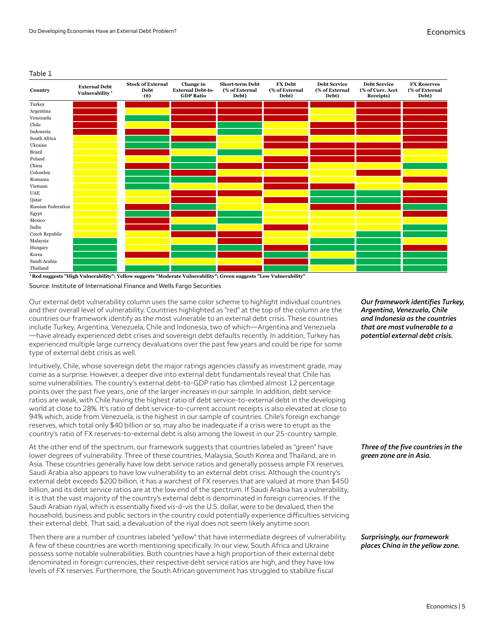#### <span id="page-4-0"></span>Table 1

| Country            | <b>External Debt</b><br>Vulnerability <sup>1</sup> | <b>Stock of External</b><br>Debt<br>$($ \$) | Change in<br><b>External Debt-to-</b><br><b>GDP Ratio</b> | <b>Short-term Debt</b><br>(% of External<br>Debt) | <b>FX</b> Debt<br>(% of External<br>Debt) | <b>Debt Service</b><br>(% of External<br>Debt) | <b>Debt Service</b><br>(% of Curr. Acct<br>Receipts) | <b>FX Reserves</b><br>(% of External<br>Debt) |
|--------------------|----------------------------------------------------|---------------------------------------------|-----------------------------------------------------------|---------------------------------------------------|-------------------------------------------|------------------------------------------------|------------------------------------------------------|-----------------------------------------------|
| Turkey             |                                                    |                                             |                                                           |                                                   |                                           |                                                |                                                      |                                               |
| Argentina          |                                                    |                                             |                                                           |                                                   |                                           |                                                |                                                      |                                               |
| Venezuela          |                                                    |                                             |                                                           |                                                   |                                           |                                                |                                                      |                                               |
| Chile              |                                                    |                                             |                                                           |                                                   |                                           |                                                |                                                      |                                               |
| Indonesia          |                                                    |                                             |                                                           |                                                   |                                           |                                                |                                                      |                                               |
| South Africa       |                                                    |                                             |                                                           |                                                   |                                           |                                                |                                                      |                                               |
| Ukraine            |                                                    |                                             |                                                           |                                                   |                                           |                                                |                                                      |                                               |
| Brazil             |                                                    |                                             |                                                           |                                                   |                                           |                                                |                                                      |                                               |
| Poland             |                                                    |                                             |                                                           |                                                   |                                           |                                                |                                                      |                                               |
| China              |                                                    |                                             |                                                           |                                                   |                                           |                                                |                                                      |                                               |
| Colombia           |                                                    |                                             |                                                           |                                                   |                                           |                                                |                                                      |                                               |
| Romania            |                                                    |                                             |                                                           |                                                   |                                           |                                                |                                                      |                                               |
| Vietnam            |                                                    |                                             |                                                           |                                                   |                                           |                                                |                                                      |                                               |
| $_{\rm UAE}$       |                                                    |                                             |                                                           |                                                   |                                           |                                                |                                                      |                                               |
| Qatar              |                                                    |                                             |                                                           |                                                   |                                           |                                                |                                                      |                                               |
| Russian Federation |                                                    |                                             |                                                           |                                                   |                                           |                                                |                                                      |                                               |
| Egypt              |                                                    |                                             |                                                           |                                                   |                                           |                                                |                                                      |                                               |
| Mexico             |                                                    |                                             |                                                           |                                                   |                                           |                                                |                                                      |                                               |
| India              |                                                    |                                             |                                                           |                                                   |                                           |                                                |                                                      |                                               |
| Czech Republic     |                                                    |                                             |                                                           |                                                   |                                           |                                                |                                                      |                                               |
| Malaysia           |                                                    |                                             |                                                           |                                                   |                                           |                                                |                                                      |                                               |
| Hungary            |                                                    |                                             |                                                           |                                                   |                                           |                                                |                                                      |                                               |
| Korea              |                                                    |                                             |                                                           |                                                   |                                           |                                                |                                                      |                                               |
| Saudi Arabia       |                                                    |                                             |                                                           |                                                   |                                           |                                                |                                                      |                                               |
| Thailand           |                                                    |                                             |                                                           |                                                   |                                           |                                                |                                                      |                                               |



Source: Institute of International Finance and Wells Fargo Securities

Our external debt vulnerability column uses the same color scheme to highlight individual countries and their overall level of vulnerability. Countries highlighted as "red" at the top of the column are the countries our framework identify as the most vulnerable to an external debt crisis. These countries include Turkey, Argentina, Venezuela, Chile and Indonesia, two of which—Argentina and Venezuela —have already experienced debt crises and sovereign debt defaults recently. In addition, Turkey has experienced multiple large currency devaluations over the past few years and could be ripe for some type of external debt crisis as well.

Intuitively, Chile, whose sovereign debt the major ratings agencies classify as investment grade, may come as a surprise. However, a deeper dive into external debt fundamentals reveal that Chile has some vulnerabilities. The country's external debt-to-GDP ratio has climbed almost 12 percentage points over the past five years, one of the larger increases in our sample. In addition, debt service ratios are weak, with Chile having the highest ratio of debt service-to-external debt in the developing world at close to 28%. It's ratio of debt service-to-current account receipts is also elevated at close to 94% which, aside from Venezuela, is the highest in our sample of countries. Chile's foreign exchange reserves, which total only \$40 billion or so, may also be inadequate if a crisis were to erupt as the country's ratio of FX reserves-to-external debt is also among the lowest in our 25-country sample.

At the other end of the spectrum, our framework suggests that countries labeled as "green" have lower degrees of vulnerability. Three of these countries, Malaysia, South Korea and Thailand, are in Asia. These countries generally have low debt service ratios and generally possess ample FX reserves. Saudi Arabia also appears to have low vulnerability to an external debt crisis. Although the country's external debt exceeds \$200 billion, it has a warchest of FX reserves that are valued at more than \$450 billion, and its debt service ratios are at the low end of the spectrum. If Saudi Arabia has a vulnerability, it is that the vast majority of the country's external debt is denominated in foreign currencies. If the Saudi Arabian riyal, which is essentially fixed *vis-á-vis* the U.S. dollar, were to be devalued, then the household, business and public sectors in the country could potentially experience difficulties servicing their external debt. That said, a devaluation of the riyal does not seem likely anytime soon.

Then there are a number of countries labeled "yellow" that have intermediate degrees of vulnerability. A few of these countries are worth mentioning specifically. In our view, South Africa and Ukraine possess some notable vulnerabilities. Both countries have a high proportion of their external debt denominated in foreign currencies, their respective debt service ratios are high, and they have low levels of FX reserves. Furthermore, the South African government has struggled to stabilize fiscal

*Our framework identies Turkey, Argentina, Venezuela, Chile and Indonesia as the countries that are most vulnerable to a potential external debt crisis.*

*Three of the ve countries in the green zone are in Asia.*

*Surprisingly, our framework places China in the yellow zone.*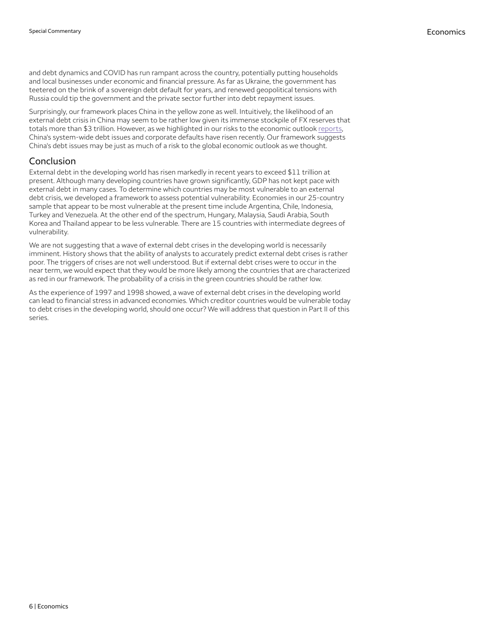and debt dynamics and COVID has run rampant across the country, potentially putting households and local businesses under economic and financial pressure. As far as Ukraine, the government has teetered on the brink of a sovereign debt default for years, and renewed geopolitical tensions with Russia could tip the government and the private sector further into debt repayment issues.

Surprisingly, our framework places China in the yellow zone as well. Intuitively, the likelihood of an external debt crisis in China may seem to be rather low given its immense stockpile of FX reserves that totals more than \$3 trillion. However, as we highlighted in our risks to the economic outlook [reports,](https://wellsfargo.bluematrix.com/links2/link/html/639d9ea3-e896-4c6a-b1e9-633d7625fde2/7ebe68bb-7a42-40a7-b1ef-0b261a449f14) China's system-wide debt issues and corporate defaults have risen recently. Our framework suggests China's debt issues may be just as much of a risk to the global economic outlook as we thought.

## Conclusion

External debt in the developing world has risen markedly in recent years to exceed \$11 trillion at present. Although many developing countries have grown significantly, GDP has not kept pace with external debt in many cases. To determine which countries may be most vulnerable to an external debt crisis, we developed a framework to assess potential vulnerability. Economies in our 25-country sample that appear to be most vulnerable at the present time include Argentina, Chile, Indonesia, Turkey and Venezuela. At the other end of the spectrum, Hungary, Malaysia, Saudi Arabia, South Korea and Thailand appear to be less vulnerable. There are 15 countries with intermediate degrees of vulnerability.

We are not suggesting that a wave of external debt crises in the developing world is necessarily imminent. History shows that the ability of analysts to accurately predict external debt crises is rather poor. The triggers of crises are not well understood. But if external debt crises were to occur in the near term, we would expect that they would be more likely among the countries that are characterized as red in our framework. The probability of a crisis in the green countries should be rather low.

As the experience of 1997 and 1998 showed, a wave of external debt crises in the developing world can lead to financial stress in advanced economies. Which creditor countries would be vulnerable today to debt crises in the developing world, should one occur? We will address that question in Part II of this series.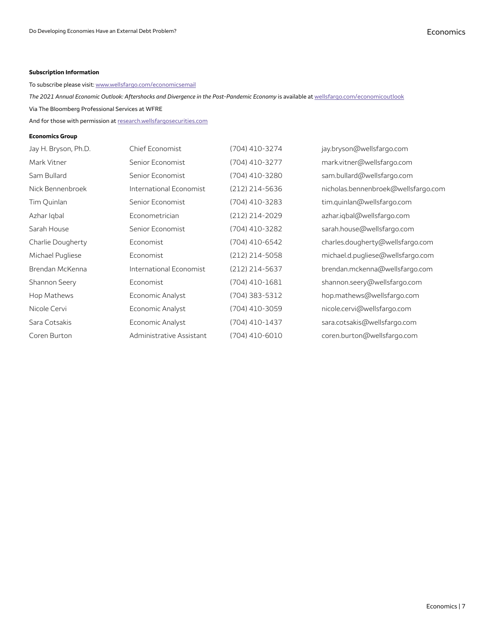#### **Subscription Information**

To subscribe please visit: [www.wellsfargo.com/economicsemail](http://www.wellsfargo.com/economicsemail)

*The 2021 Annual Economic Outlook: Aftershocks and Divergence in the Post-Pandemic Economy* is available at [wellsfargo.com/economicoutlook](http://wellsfargo.com/economicoutlook)

Via The Bloomberg Professional Services at WFRE

And for those with permission at [research.wellsfargosecurities.com](https://research.wellsfargosecurities.com/)

#### **Economics Group**

| Jay H. Bryson, Ph.D. | Chief Economist          | (704) 410-3274 | jay.bryson@wellsfargo.com           |
|----------------------|--------------------------|----------------|-------------------------------------|
| Mark Vitner          | Senior Economist         | (704) 410-3277 | mark.vitner@wellsfargo.com          |
| Sam Bullard          | Senior Economist         | (704) 410-3280 | sam.bullard@wellsfargo.com          |
| Nick Bennenbroek     | International Economist  | (212) 214-5636 | nicholas.bennenbroek@wellsfargo.com |
| Tim Quinlan          | Senior Economist         | (704) 410-3283 | tim.quinlan@wellsfargo.com          |
| Azhar Igbal          | Econometrician           | (212) 214-2029 | azhar.iqbal@wellsfargo.com          |
| Sarah House          | Senior Economist         | (704) 410-3282 | sarah.house@wellsfargo.com          |
| Charlie Dougherty    | Economist                | (704) 410-6542 | charles.dougherty@wellsfargo.com    |
| Michael Pugliese     | Economist                | (212) 214-5058 | michael.d.pugliese@wellsfargo.com   |
| Brendan McKenna      | International Economist  | (212) 214-5637 | brendan.mckenna@wellsfargo.com      |
| Shannon Seery        | Economist                | (704) 410-1681 | shannon.seery@wellsfargo.com        |
| Hop Mathews          | Economic Analyst         | (704) 383-5312 | hop.mathews@wellsfargo.com          |
| Nicole Cervi         | Economic Analyst         | (704) 410-3059 | nicole.cervi@wellsfargo.com         |
| Sara Cotsakis        | Economic Analyst         | (704) 410-1437 | sara.cotsakis@wellsfargo.com        |
| Coren Burton         | Administrative Assistant | (704) 410-6010 | coren.burton@wellsfargo.com         |
|                      |                          |                |                                     |